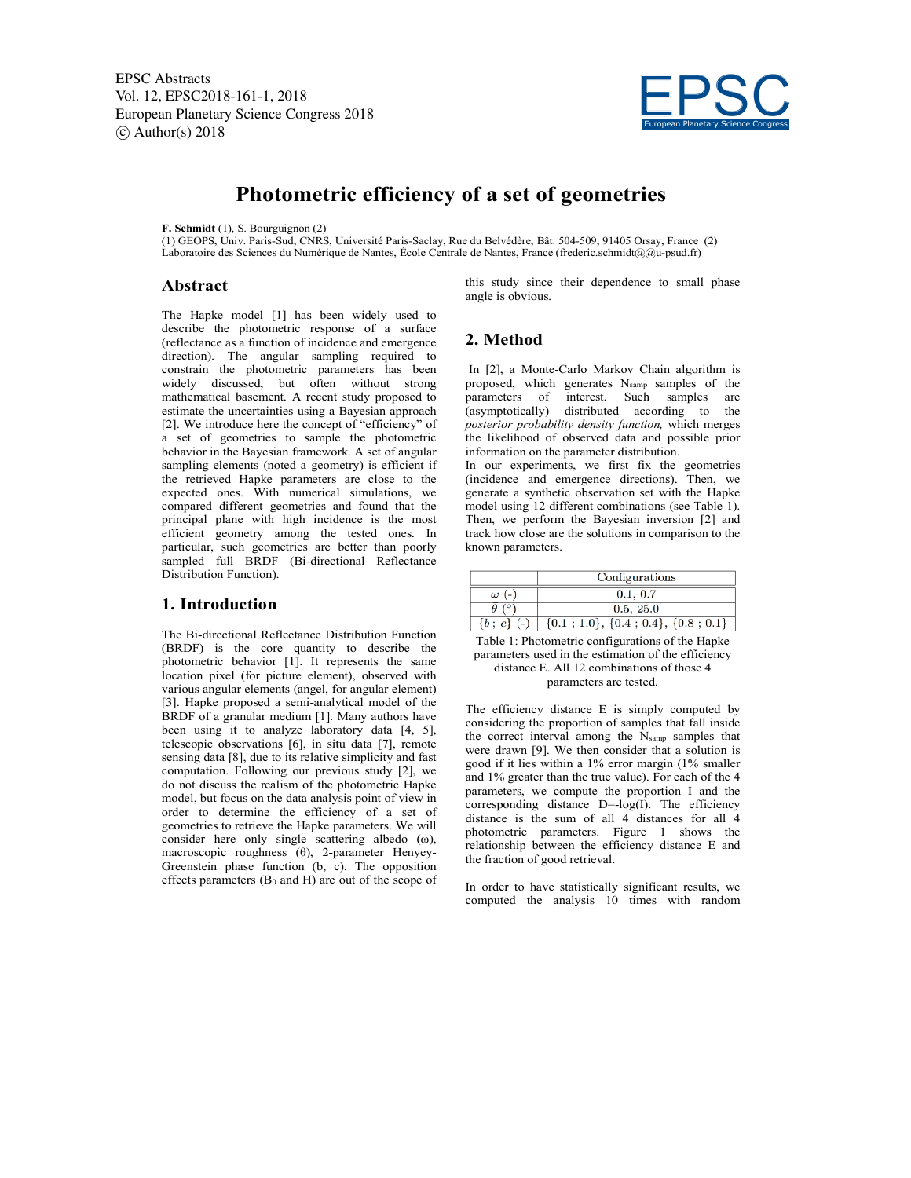EPSC Abstracts Vol. 12, EPSC2018-161-1, 2018 European Planetary Science Congress 2018  $\circ$  Author(s) 2018



# **Photometric efficiency of a set of geometries**

#### **F. Schmidt** (1), S. Bourguignon (2)

(1) GEOPS, Univ. Paris-Sud, CNRS, Université Paris-Saclay, Rue du Belvédère, Bât. 504-509, 91405 Orsay, France (2) Laboratoire des Sciences du Numérique de Nantes, École Centrale de Nantes, France (frederic.schmidt@@u-psud.fr)

#### **Abstract**

The Hapke model [1] has been widely used to describe the photometric response of a surface (reflectance as a function of incidence and emergence direction). The angular sampling required to constrain the photometric parameters has been widely discussed, but often without strong mathematical basement. A recent study proposed to estimate the uncertainties using a Bayesian approach [2]. We introduce here the concept of "efficiency" of a set of geometries to sample the photometric behavior in the Bayesian framework. A set of angular sampling elements (noted a geometry) is efficient if the retrieved Hapke parameters are close to the expected ones. With numerical simulations, we compared different geometries and found that the principal plane with high incidence is the most efficient geometry among the tested ones. In particular, such geometries are better than poorly sampled full BRDF (Bi-directional Reflectance Distribution Function).

## **1. Introduction**

The Bi-directional Reflectance Distribution Function (BRDF) is the core quantity to describe the photometric behavior [1]. It represents the same location pixel (for picture element), observed with various angular elements (angel, for angular element) [3]. Hapke proposed a semi-analytical model of the BRDF of a granular medium [1]. Many authors have been using it to analyze laboratory data [4, 5], telescopic observations [6], in situ data [7], remote sensing data [8], due to its relative simplicity and fast computation. Following our previous study [2], we do not discuss the realism of the photometric Hapke model, but focus on the data analysis point of view in order to determine the efficiency of a set of geometries to retrieve the Hapke parameters. We will consider here only single scattering albedo (ω), macroscopic roughness (θ), 2-parameter Henyey-Greenstein phase function (b, c). The opposition effects parameters  $(B_0 \text{ and } H)$  are out of the scope of this study since their dependence to small phase angle is obvious.

# **2. Method**

In [2], a Monte-Carlo Markov Chain algorithm is proposed, which generates Nsamp samples of the parameters of interest. Such samples are (asymptotically) distributed according to the *posterior probability density function,* which merges the likelihood of observed data and possible prior information on the parameter distribution.

In our experiments, we first fix the geometries (incidence and emergence directions). Then, we generate a synthetic observation set with the Hapke model using 12 different combinations (see Table 1). Then, we perform the Bayesian inversion [2] and track how close are the solutions in comparison to the known parameters.

|          | Configurations                             |
|----------|--------------------------------------------|
| $\omega$ | 0.1, 0.7                                   |
|          | 0.5, 25.0                                  |
|          | $\{0.1; 1.0\}, \{0.4; 0.4\}, \{0.8; 0.1\}$ |

Table 1: Photometric configurations of the Hapke parameters used in the estimation of the efficiency distance E. All 12 combinations of those 4 parameters are tested.

The efficiency distance E is simply computed by considering the proportion of samples that fall inside the correct interval among the Nsamp samples that were drawn [9]. We then consider that a solution is good if it lies within a 1% error margin (1% smaller and 1% greater than the true value). For each of the 4 parameters, we compute the proportion I and the corresponding distance  $D=-log(I)$ . The efficiency distance is the sum of all 4 distances for all 4 photometric parameters. Figure 1 shows the relationship between the efficiency distance E and the fraction of good retrieval.

In order to have statistically significant results, we computed the analysis 10 times with random